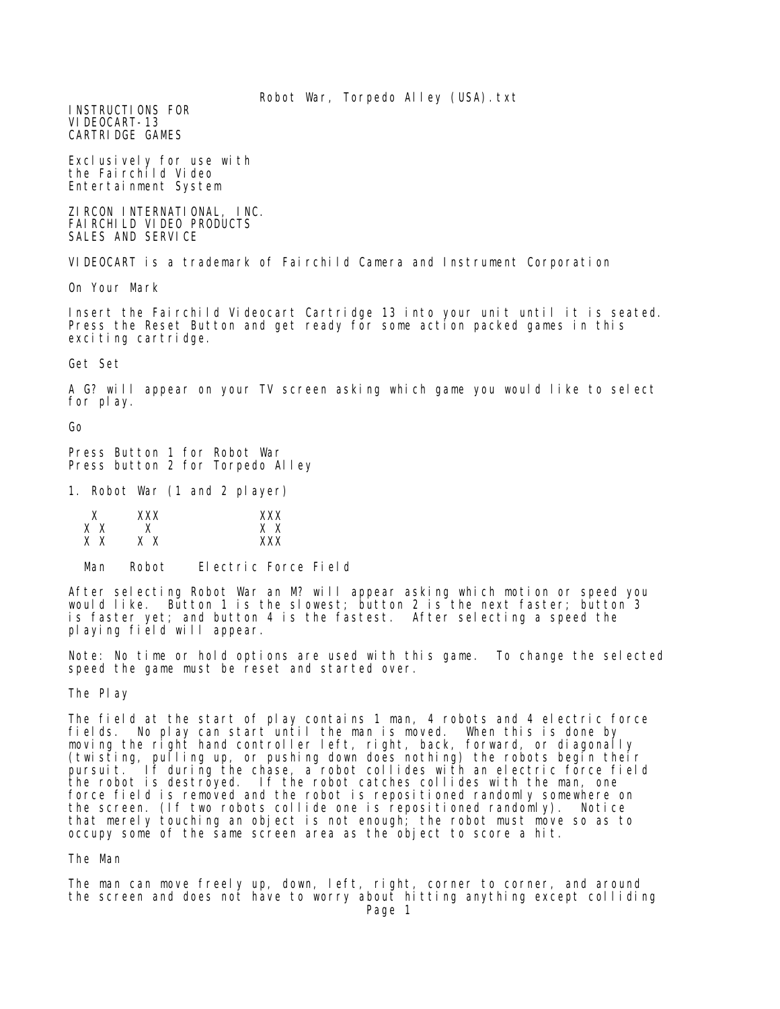Robot War, Torpedo Alley (USA).txt

INSTRUCTIONS FOR VIDEOCART-13 CARTRIDGE GAMES

Exclusively for use with the Fairchild Video Entertainment System

ZIRCON INTERNATIONAL, INC. FAIRCHILD VIDEO PRODUCTS SALES AND SERVICE

VIDEOCART is a trademark of Fairchild Camera and Instrument Corporation

On Your Mark

Insert the Fairchild Videocart Cartridge 13 into your unit until it is seated. Press the Reset Button and get ready for some action packed games in this exciting cartridge.

Get Set

A G? will appear on your TV screen asking which game you would like to select for play.

Go

Press Button 1 for Robot War Press button 2 for Torpedo Alley

1. Robot War (1 and 2 player)

| ν  | xxx    | xxx    |
|----|--------|--------|
| хх |        | X<br>X |
| хх | x<br>X | xxx    |

Man Robot Electric Force Field

After selecting Robot War an M? will appear asking which motion or speed you would like. Button 1 is the slowest; button 2 is the next faster; button 3 is faster yet; and button 4 is the fastest. After selecting a speed the playing field will appear.

Note: No time or hold options are used with this game. To change the selected speed the game must be reset and started over.

The Play

The field at the start of play contains 1 man, 4 robots and 4 electric force fields. No play can start until the man is moved. When this is done by moving the right hand controller left, right, back, forward, or diagonally (twisting, pulling up, or pushing down does nothing) the robots begin their pursuit. If during the chase, a robot collides with an electric force field the robot is destroyed. If the robot catches collides with the man, one force field is removed and the robot is repositioned randomly somewhere on the screen. (If two robots collide one is repositioned randomly). Notice that merely touching an object is not enough; the robot must move so as to occupy some of the same screen area as the object to score a hit.

The Man

The man can move freely up, down, left, right, corner to corner, and around the screen and does not have to worry about hitting anything except colliding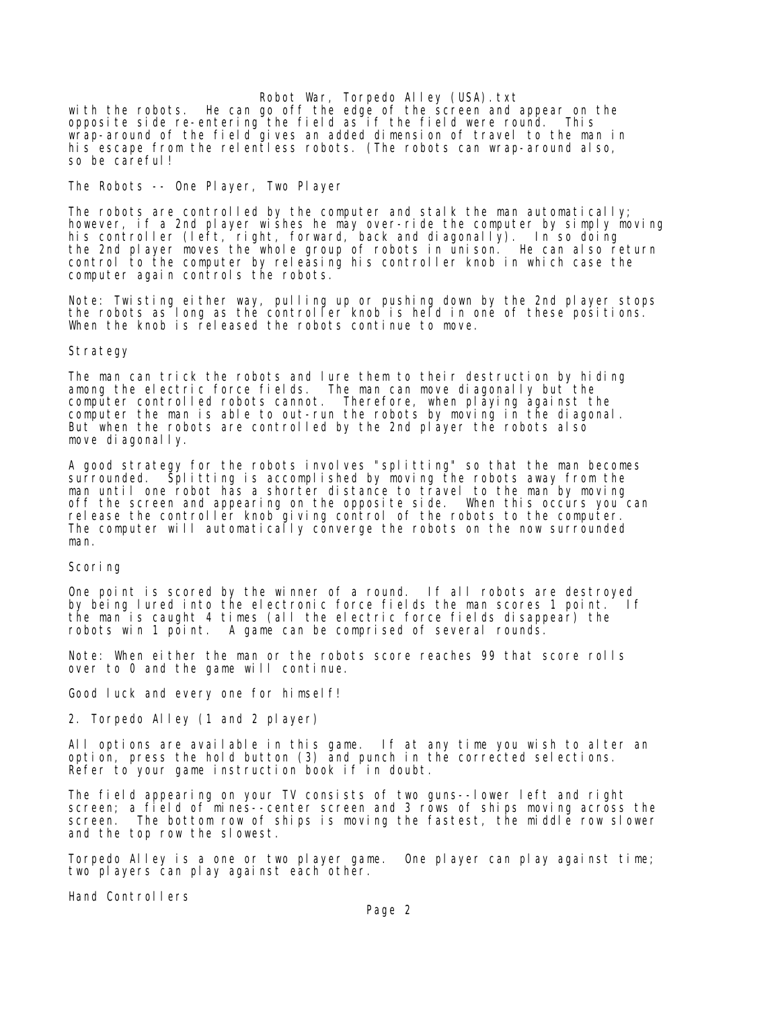Robot War, Torpedo Alley (USA).txt with the robots. He can go off the edge of the screen and appear on the opposite side re-entering the field as if the field were round. This wrap-around of the field gives an added dimension of travel to the man in his escape from the relentless robots. (The robots can wrap-around also, so be careful!

The Robots -- One Player, Two Player

The robots are controlled by the computer and stalk the man automatically; however, if a 2nd player wishes he may over-ride the computer by simply moving his controller (left, right, forward, back and diagonally). In so doing the 2nd player moves the whole group of robots in unison. He can also return control to the computer by releasing his controller knob in which case the computer again controls the robots.

Note: Twisting either way, pulling up or pushing down by the 2nd player stops the robots as long as the controller knob is held in one of these positions. When the knob is released the robots continue to move.

## Strategy

The man can trick the robots and lure them to their destruction by hiding among the electric force fields. The man can move diagonally but the computer controlled robots cannot. Therefore, when playing against the computer the man is able to out-run the robots by moving in the diagonal. But when the robots are controlled by the 2nd player the robots also move diagonally.

A good strategy for the robots involves "splitting" so that the man becomes surrounded. Splitting is accomplished by moving the robots away from the man until one robot has a shorter distance to travel to the man by moving off the screen and appearing on the opposite side. When this occurs you can release the controller knob giving control of the robots to the computer. The computer will automatically converge the robots on the now surrounded man.

## Scoring

One point is scored by the winner of a round. If all robots are destroyed by being lured into the electronic force fields the man scores 1 point. If the man is caught 4 times (all the electric force fields disappear) the robots win 1 point. A game can be comprised of several rounds.

Note: When either the man or the robots score reaches 99 that score rolls over to 0 and the game will continue.

Good luck and every one for himself!

2. Torpedo Alley (1 and 2 player)

All options are available in this game. If at any time you wish to alter an option, press the hold button (3) and punch in the corrected selections. Refer to your game instruction book if in doubt.

The field appearing on your TV consists of two guns--lower left and right screen; a field of mines--center screen and 3 rows of ships moving across the screen. The bottom row of ships is moving the fastest, the middle row slower and the top row the slowest.

Torpedo Alley is a one or two player game. One player can play against time; two players can play against each other.

Hand Controllers